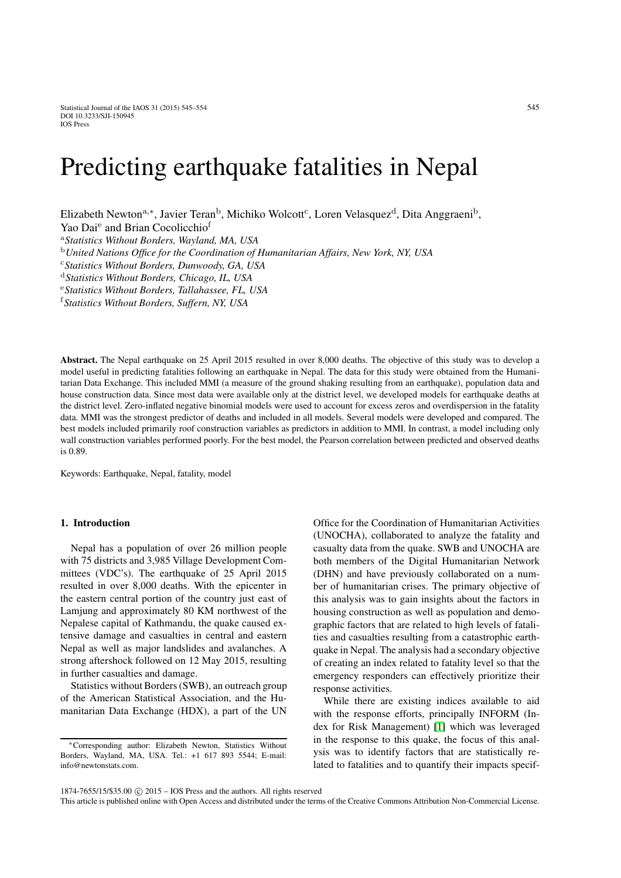# Predicting earthquake fatalities in Nepal

Elizabeth Newton<sup>a,∗</sup>, Javier Teran<sup>b</sup>, Michiko Wolcott<sup>c</sup>, Loren Velasquez<sup>d</sup>, Dita Anggraeni<sup>b</sup>, Yao Dai<sup>e</sup> and Brian Cocolicchio<sup>f</sup>

<sup>a</sup>*Statistics Without Borders, Wayland, MA, USA*

<sup>b</sup>*United Nations Office for the Coordination of Humanitarian Affairs, New York, NY, USA*

<sup>c</sup>*Statistics Without Borders, Dunwoody, GA, USA*

<sup>d</sup>*Statistics Without Borders, Chicago, IL, USA*

<sup>e</sup>*Statistics Without Borders, Tallahassee, FL, USA*

f *Statistics Without Borders, Suffern, NY, USA*

Abstract. The Nepal earthquake on 25 April 2015 resulted in over 8,000 deaths. The objective of this study was to develop a model useful in predicting fatalities following an earthquake in Nepal. The data for this study were obtained from the Humanitarian Data Exchange. This included MMI (a measure of the ground shaking resulting from an earthquake), population data and house construction data. Since most data were available only at the district level, we developed models for earthquake deaths at the district level. Zero-inflated negative binomial models were used to account for excess zeros and overdispersion in the fatality data. MMI was the strongest predictor of deaths and included in all models. Several models were developed and compared. The best models included primarily roof construction variables as predictors in addition to MMI. In contrast, a model including only wall construction variables performed poorly. For the best model, the Pearson correlation between predicted and observed deaths is 0.89.

Keywords: Earthquake, Nepal, fatality, model

#### 1. Introduction

Nepal has a population of over 26 million people with 75 districts and 3,985 Village Development Committees (VDC's). The earthquake of 25 April 2015 resulted in over 8,000 deaths. With the epicenter in the eastern central portion of the country just east of Lamjung and approximately 80 KM northwest of the Nepalese capital of Kathmandu, the quake caused extensive damage and casualties in central and eastern Nepal as well as major landslides and avalanches. A strong aftershock followed on 12 May 2015, resulting in further casualties and damage.

Statistics without Borders (SWB), an outreach group of the American Statistical Association, and the Humanitarian Data Exchange (HDX), a part of the UN Office for the Coordination of Humanitarian Activities (UNOCHA), collaborated to analyze the fatality and casualty data from the quake. SWB and UNOCHA are both members of the Digital Humanitarian Network (DHN) and have previously collaborated on a number of humanitarian crises. The primary objective of this analysis was to gain insights about the factors in housing construction as well as population and demographic factors that are related to high levels of fatalities and casualties resulting from a catastrophic earthquake in Nepal. The analysis had a secondary objective of creating an index related to fatality level so that the emergency responders can effectively prioritize their response activities.

While there are existing indices available to aid with the response efforts, principally INFORM (Index for Risk Management) [\[1\]](#page-9-0) which was leveraged in the response to this quake, the focus of this analysis was to identify factors that are statistically related to fatalities and to quantify their impacts specif-

<sup>∗</sup>Corresponding author: Elizabeth Newton, Statistics Without Borders, Wayland, MA, USA. Tel.: +1 617 893 5544; E-mail: info@newtonstats.com.

This article is published online with Open Access and distributed under the terms of the Creative Commons Attribution Non-Commercial License.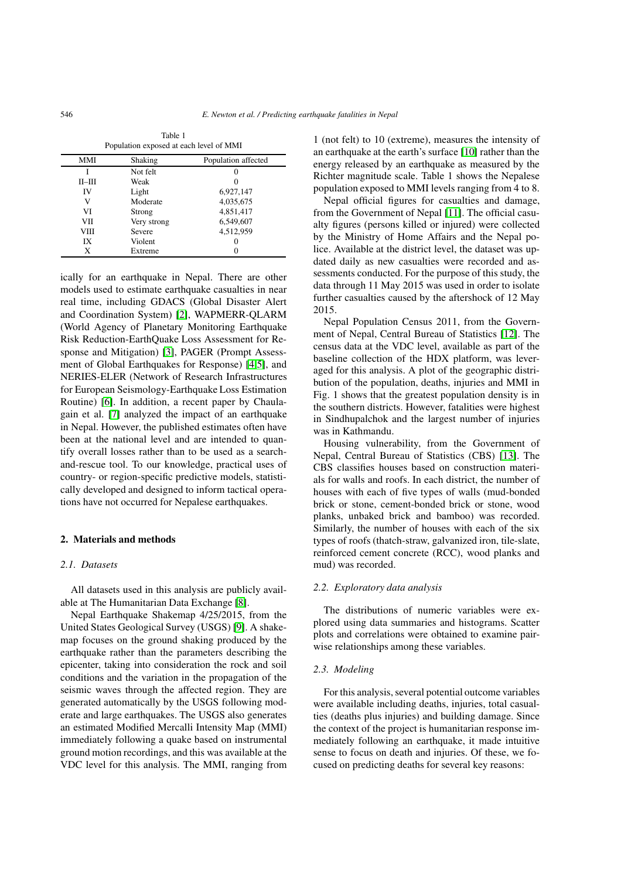| Population exposed at each level of MMI |             |                     |  |  |
|-----------------------------------------|-------------|---------------------|--|--|
| MMI                                     | Shaking     | Population affected |  |  |
|                                         | Not felt    |                     |  |  |
| $II$ - $III$                            | Weak        |                     |  |  |
| IV                                      | Light       | 6,927,147           |  |  |
| V                                       | Moderate    | 4,035,675           |  |  |
| VI                                      | Strong      | 4,851,417           |  |  |
| VII                                     | Very strong | 6,549,607           |  |  |
| VШ                                      | Severe      | 4,512,959           |  |  |
| IX                                      | Violent     |                     |  |  |
| X                                       | Extreme     |                     |  |  |

Table 1

ically for an earthquake in Nepal. There are other models used to estimate earthquake casualties in near real time, including GDACS (Global Disaster Alert and Coordination System) [\[2\]](#page-9-1), WAPMERR-QLARM (World Agency of Planetary Monitoring Earthquake Risk Reduction-EarthQuake Loss Assessment for Response and Mitigation) [\[3\]](#page-9-2), PAGER (Prompt Assessment of Global Earthquakes for Response) [\[4,](#page-9-3)[5\]](#page-9-4), and NERIES-ELER (Network of Research Infrastructures for European Seismology-Earthquake Loss Estimation Routine) [\[6\]](#page-9-5). In addition, a recent paper by Chaulagain et al. [\[7\]](#page-9-6) analyzed the impact of an earthquake in Nepal. However, the published estimates often have been at the national level and are intended to quantify overall losses rather than to be used as a searchand-rescue tool. To our knowledge, practical uses of country- or region-specific predictive models, statistically developed and designed to inform tactical operations have not occurred for Nepalese earthquakes.

### 2. Materials and methods

#### *2.1. Datasets*

All datasets used in this analysis are publicly available at The Humanitarian Data Exchange [\[8\]](#page-9-7).

Nepal Earthquake Shakemap 4/25/2015, from the United States Geological Survey (USGS) [\[9\]](#page-9-8). A shakemap focuses on the ground shaking produced by the earthquake rather than the parameters describing the epicenter, taking into consideration the rock and soil conditions and the variation in the propagation of the seismic waves through the affected region. They are generated automatically by the USGS following moderate and large earthquakes. The USGS also generates an estimated Modified Mercalli Intensity Map (MMI) immediately following a quake based on instrumental ground motion recordings, and this was available at the VDC level for this analysis. The MMI, ranging from

1 (not felt) to 10 (extreme), measures the intensity of an earthquake at the earth's surface [\[10\]](#page-9-9) rather than the energy released by an earthquake as measured by the Richter magnitude scale. Table 1 shows the Nepalese population exposed to MMI levels ranging from 4 to 8.

Nepal official figures for casualties and damage, from the Government of Nepal [\[11\]](#page-9-10). The official casualty figures (persons killed or injured) were collected by the Ministry of Home Affairs and the Nepal police. Available at the district level, the dataset was updated daily as new casualties were recorded and assessments conducted. For the purpose of this study, the data through 11 May 2015 was used in order to isolate further casualties caused by the aftershock of 12 May 2015.

Nepal Population Census 2011, from the Government of Nepal, Central Bureau of Statistics [\[12\]](#page-9-11). The census data at the VDC level, available as part of the baseline collection of the HDX platform, was leveraged for this analysis. A plot of the geographic distribution of the population, deaths, injuries and MMI in Fig. 1 shows that the greatest population density is in the southern districts. However, fatalities were highest in Sindhupalchok and the largest number of injuries was in Kathmandu.

Housing vulnerability, from the Government of Nepal, Central Bureau of Statistics (CBS) [\[13\]](#page-9-12). The CBS classifies houses based on construction materials for walls and roofs. In each district, the number of houses with each of five types of walls (mud-bonded brick or stone, cement-bonded brick or stone, wood planks, unbaked brick and bamboo) was recorded. Similarly, the number of houses with each of the six types of roofs (thatch-straw, galvanized iron, tile-slate, reinforced cement concrete (RCC), wood planks and mud) was recorded.

#### *2.2. Exploratory data analysis*

The distributions of numeric variables were explored using data summaries and histograms. Scatter plots and correlations were obtained to examine pairwise relationships among these variables.

#### *2.3. Modeling*

For this analysis, several potential outcome variables were available including deaths, injuries, total casualties (deaths plus injuries) and building damage. Since the context of the project is humanitarian response immediately following an earthquake, it made intuitive sense to focus on death and injuries. Of these, we focused on predicting deaths for several key reasons: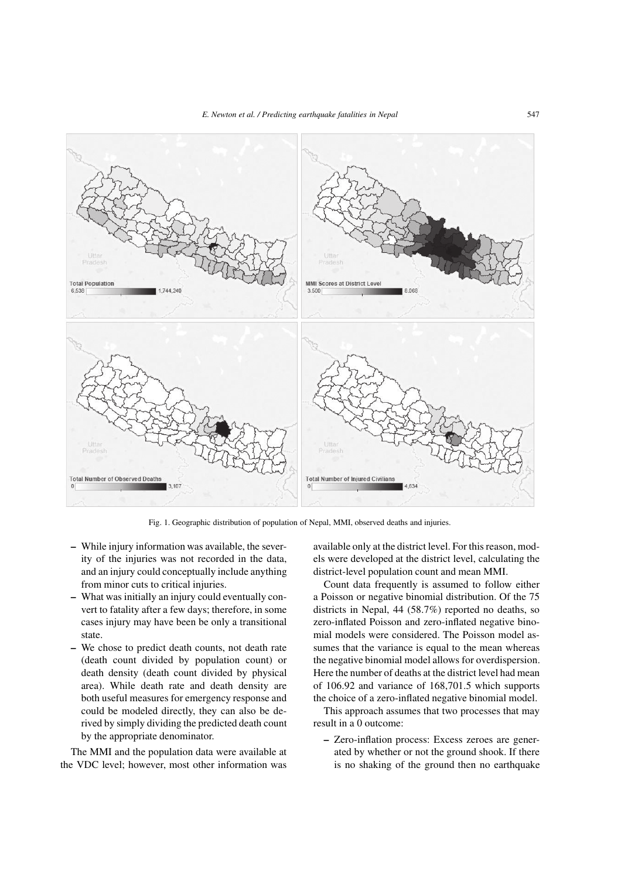

Fig. 1. Geographic distribution of population of Nepal, MMI, observed deaths and injuries.

- While injury information was available, the severity of the injuries was not recorded in the data, and an injury could conceptually include anything from minor cuts to critical injuries.
- What was initially an injury could eventually convert to fatality after a few days; therefore, in some cases injury may have been be only a transitional state.
- We chose to predict death counts, not death rate (death count divided by population count) or death density (death count divided by physical area). While death rate and death density are both useful measures for emergency response and could be modeled directly, they can also be derived by simply dividing the predicted death count by the appropriate denominator.

The MMI and the population data were available at the VDC level; however, most other information was available only at the district level. For this reason, models were developed at the district level, calculating the district-level population count and mean MMI.

Count data frequently is assumed to follow either a Poisson or negative binomial distribution. Of the 75 districts in Nepal, 44 (58.7%) reported no deaths, so zero-inflated Poisson and zero-inflated negative binomial models were considered. The Poisson model assumes that the variance is equal to the mean whereas the negative binomial model allows for overdispersion. Here the number of deaths at the district level had mean of 106.92 and variance of 168,701.5 which supports the choice of a zero-inflated negative binomial model.

This approach assumes that two processes that may result in a 0 outcome:

– Zero-inflation process: Excess zeroes are generated by whether or not the ground shook. If there is no shaking of the ground then no earthquake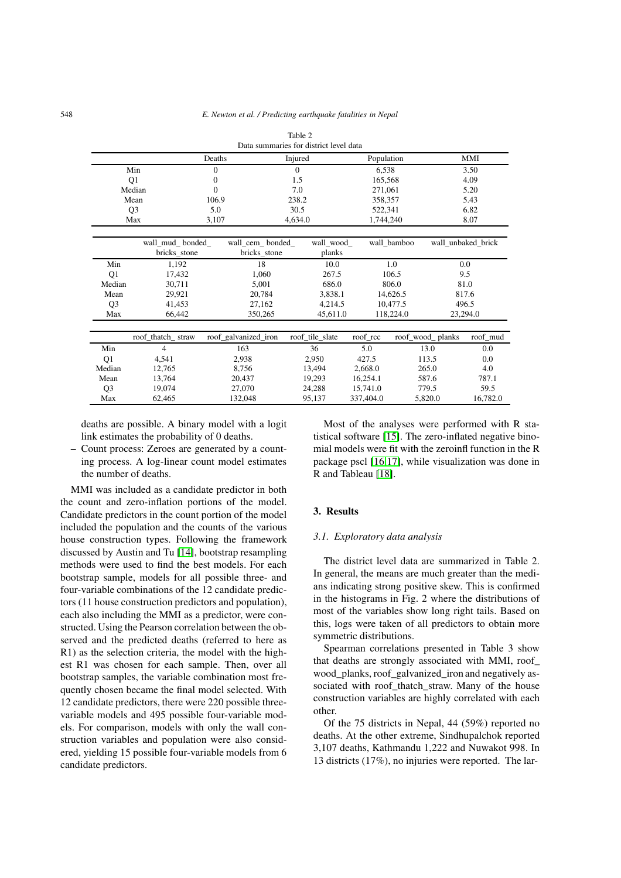| Data summaries for district level data |                   |                      |                 |                 |            |             |                  |                    |  |
|----------------------------------------|-------------------|----------------------|-----------------|-----------------|------------|-------------|------------------|--------------------|--|
|                                        |                   | Deaths               |                 | Injured         | Population |             |                  | MMI                |  |
|                                        | Min               | $\mathbf{0}$         |                 | $\mathbf{0}$    | 6,538      |             |                  | 3.50               |  |
|                                        | Q1                | $\mathbf{0}$         |                 | 1.5             | 165,568    |             |                  | 4.09               |  |
|                                        | Median            | $\mathbf{0}$         |                 | 7.0             | 271,061    |             |                  | 5.20               |  |
|                                        | Mean              | 106.9                |                 | 238.2           | 358,357    |             |                  | 5.43               |  |
|                                        | Q <sub>3</sub>    | 5.0                  |                 | 30.5            | 522.341    |             |                  | 6.82               |  |
|                                        | Max               | 3,107                |                 | 4,634.0         |            | 1,744,240   |                  | 8.07               |  |
|                                        |                   |                      |                 |                 |            |             |                  |                    |  |
|                                        | wall mud bonded   |                      | wall cem bonded | wall wood       |            | wall bamboo |                  | wall unbaked brick |  |
|                                        | bricks_stone      |                      | bricks_stone    | planks          |            |             |                  |                    |  |
| Min                                    | 1,192             |                      | 18              | 10.0            |            | 1.0         |                  | 0.0                |  |
| Q1                                     | 17,432            |                      | 1,060           | 267.5           |            | 106.5       |                  | 9.5                |  |
| Median                                 | 30,711            |                      | 5,001           | 686.0           |            | 806.0       |                  | 81.0               |  |
| Mean                                   | 29,921            | 20,784               |                 | 3,838.1         |            | 14,626.5    |                  | 817.6              |  |
| Q <sub>3</sub>                         | 41,453            | 27,162               |                 | 4,214.5         |            | 10,477.5    | 496.5            |                    |  |
| Max                                    | 66,442            | 350,265              |                 | 45,611.0        |            | 118,224.0   |                  | 23,294.0           |  |
|                                        |                   |                      |                 |                 |            |             |                  |                    |  |
|                                        | roof_thatch_straw | roof_galvanized_iron |                 | roof_tile_slate | roof_rcc   |             | roof_wood_planks | roof_mud           |  |
| Min                                    | 4                 | 163                  |                 | 36              | 5.0        |             | 13.0             | 0.0                |  |
| Q1                                     | 4,541             | 2,938                |                 | 2,950           | 427.5      |             | 113.5            | 0.0                |  |
| Median                                 | 12,765            | 8,756                |                 | 13,494          | 2.668.0    |             | 265.0            | 4.0                |  |
| Mean                                   | 13,764            | 20,437               |                 | 19,293          | 16,254.1   |             | 587.6            | 787.1              |  |
| Q <sub>3</sub>                         | 19.074            | 27,070               |                 | 24,288          | 15,741.0   |             | 779.5            | 59.5               |  |
| Max                                    | 62,465            | 132,048              |                 | 95,137          | 337,404.0  |             | 5,820.0          | 16,782.0           |  |

Table 2

deaths are possible. A binary model with a logit link estimates the probability of 0 deaths.

– Count process: Zeroes are generated by a counting process. A log-linear count model estimates the number of deaths.

MMI was included as a candidate predictor in both the count and zero-inflation portions of the model. Candidate predictors in the count portion of the model included the population and the counts of the various house construction types. Following the framework discussed by Austin and Tu [\[14\]](#page-9-13), bootstrap resampling methods were used to find the best models. For each bootstrap sample, models for all possible three- and four-variable combinations of the 12 candidate predictors (11 house construction predictors and population), each also including the MMI as a predictor, were constructed. Using the Pearson correlation between the observed and the predicted deaths (referred to here as R1) as the selection criteria, the model with the highest R1 was chosen for each sample. Then, over all bootstrap samples, the variable combination most frequently chosen became the final model selected. With 12 candidate predictors, there were 220 possible threevariable models and 495 possible four-variable models. For comparison, models with only the wall construction variables and population were also considered, yielding 15 possible four-variable models from 6 candidate predictors.

Most of the analyses were performed with R statistical software [\[15\]](#page-9-14). The zero-inflated negative binomial models were fit with the zeroinfl function in the R package pscl [\[16,](#page-9-15)[17\]](#page-9-16), while visualization was done in R and Tableau [\[18\]](#page-9-17).

#### 3. Results

#### *3.1. Exploratory data analysis*

The district level data are summarized in Table 2. In general, the means are much greater than the medians indicating strong positive skew. This is confirmed in the histograms in Fig. 2 where the distributions of most of the variables show long right tails. Based on this, logs were taken of all predictors to obtain more symmetric distributions.

Spearman correlations presented in Table 3 show that deaths are strongly associated with MMI, roof\_ wood\_planks, roof\_galvanized\_iron and negatively associated with roof\_thatch\_straw. Many of the house construction variables are highly correlated with each other.

Of the 75 districts in Nepal, 44 (59%) reported no deaths. At the other extreme, Sindhupalchok reported 3,107 deaths, Kathmandu 1,222 and Nuwakot 998. In 13 districts (17%), no injuries were reported. The lar-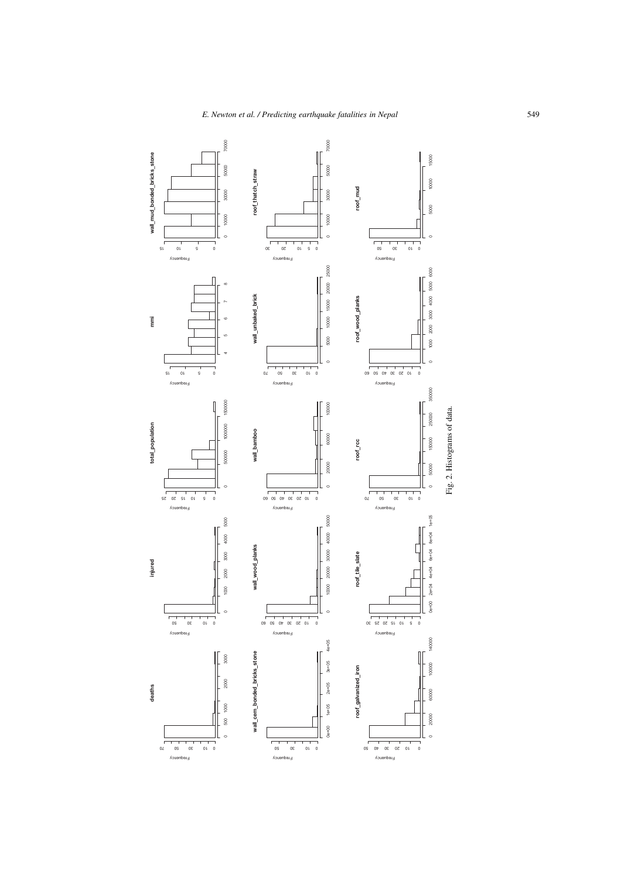

# *E. Newton et al. / Predicting earthquake fatalities in Nepal* 549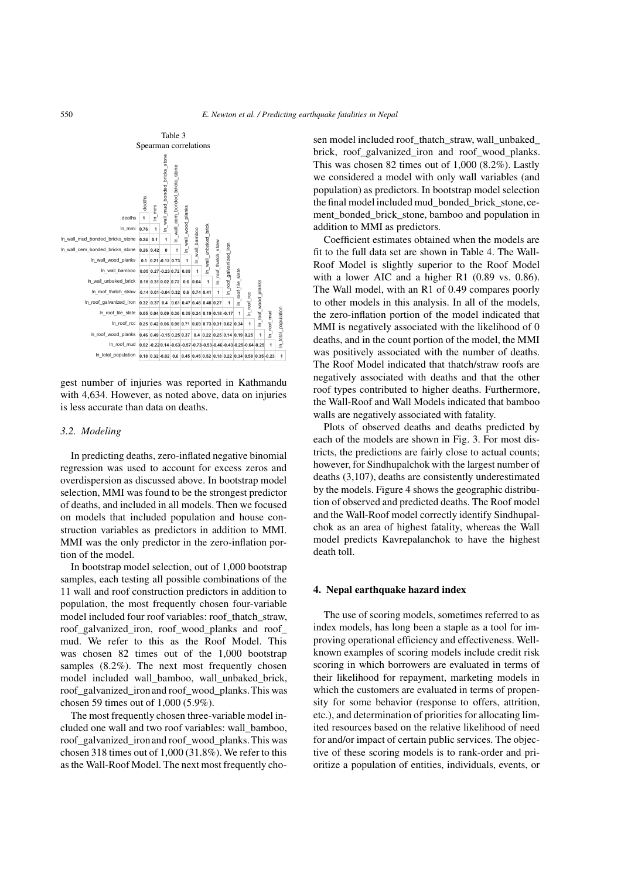

gest number of injuries was reported in Kathmandu with 4,634. However, as noted above, data on injuries is less accurate than data on deaths.

#### *3.2. Modeling*

In predicting deaths, zero-inflated negative binomial regression was used to account for excess zeros and overdispersion as discussed above. In bootstrap model selection, MMI was found to be the strongest predictor of deaths, and included in all models. Then we focused on models that included population and house construction variables as predictors in addition to MMI. MMI was the only predictor in the zero-inflation portion of the model.

In bootstrap model selection, out of 1,000 bootstrap samples, each testing all possible combinations of the 11 wall and roof construction predictors in addition to population, the most frequently chosen four-variable model included four roof variables: roof\_thatch\_straw, roof galvanized iron, roof wood planks and roof mud. We refer to this as the Roof Model. This was chosen 82 times out of the 1,000 bootstrap samples (8.2%). The next most frequently chosen model included wall\_bamboo, wall\_unbaked\_brick, roof\_galvanized\_iron and roof\_wood\_planks. This was chosen 59 times out of 1,000 (5.9%).

The most frequently chosen three-variable model included one wall and two roof variables: wall\_bamboo, roof\_galvanized\_iron and roof\_wood\_planks. This was chosen 318 times out of 1,000 (31.8%). We refer to this as the Wall-Roof Model. The next most frequently chosen model included roof\_thatch\_straw, wall\_unbaked\_ brick, roof\_galvanized\_iron and roof\_wood\_planks. This was chosen 82 times out of 1,000 (8.2%). Lastly we considered a model with only wall variables (and population) as predictors. In bootstrap model selection the final model included mud\_bonded\_brick\_stone, cement\_bonded\_brick\_stone, bamboo and population in addition to MMI as predictors.

Coefficient estimates obtained when the models are fit to the full data set are shown in Table 4. The Wall-Roof Model is slightly superior to the Roof Model with a lower AIC and a higher R1 (0.89 vs. 0.86). The Wall model, with an R1 of 0.49 compares poorly to other models in this analysis. In all of the models, the zero-inflation portion of the model indicated that MMI is negatively associated with the likelihood of 0 deaths, and in the count portion of the model, the MMI was positively associated with the number of deaths. The Roof Model indicated that thatch/straw roofs are negatively associated with deaths and that the other roof types contributed to higher deaths. Furthermore, the Wall-Roof and Wall Models indicated that bamboo walls are negatively associated with fatality.

Plots of observed deaths and deaths predicted by each of the models are shown in Fig. 3. For most districts, the predictions are fairly close to actual counts; however, for Sindhupalchok with the largest number of deaths (3,107), deaths are consistently underestimated by the models. Figure 4 shows the geographic distribution of observed and predicted deaths. The Roof model and the Wall-Roof model correctly identify Sindhupalchok as an area of highest fatality, whereas the Wall model predicts Kavrepalanchok to have the highest death toll.

#### 4. Nepal earthquake hazard index

The use of scoring models, sometimes referred to as index models, has long been a staple as a tool for improving operational efficiency and effectiveness. Wellknown examples of scoring models include credit risk scoring in which borrowers are evaluated in terms of their likelihood for repayment, marketing models in which the customers are evaluated in terms of propensity for some behavior (response to offers, attrition, etc.), and determination of priorities for allocating limited resources based on the relative likelihood of need for and/or impact of certain public services. The objective of these scoring models is to rank-order and prioritize a population of entities, individuals, events, or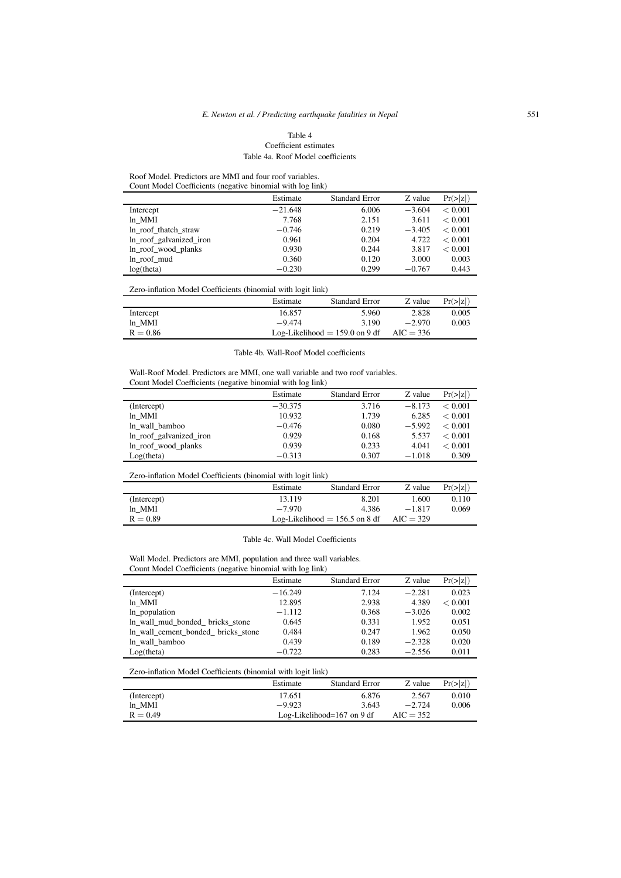#### Table 4 Coefficient estimates Table 4a. Roof Model coefficients

Roof Model. Predictors are MMI and four roof variables. Count Model Coefficients (negative binomial with log link)

| Count Moder Coemercing (negative omomial with log min) |                       |          |             |  |  |  |
|--------------------------------------------------------|-----------------------|----------|-------------|--|--|--|
| Estimate                                               | <b>Standard Error</b> | Z value  | Pr(> z )    |  |  |  |
| $-21.648$                                              | 6.006                 | $-3.604$ | ${}< 0.001$ |  |  |  |
| 7.768                                                  | 2.151                 | 3.611    | < 0.001     |  |  |  |
| $-0.746$                                               | 0.219                 | $-3.405$ | ${}< 0.001$ |  |  |  |
| 0.961                                                  | 0.204                 | 4.722    | ${}< 0.001$ |  |  |  |
| 0.930                                                  | 0.244                 | 3.817    | ${}< 0.001$ |  |  |  |
| 0.360                                                  | 0.120                 | 3.000    | 0.003       |  |  |  |
| $-0.230$                                               | 0.299                 | $-0.767$ | 0.443       |  |  |  |
|                                                        |                       |          |             |  |  |  |

#### Zero-inflation Model Coefficients (binomial with logit link)

|            | Estimate                         | <b>Standard Error</b> | Z value     | Pr(> z ) |
|------------|----------------------------------|-----------------------|-------------|----------|
| Intercept  | 16.857                           | 5.960                 | 2.828       | 0.005    |
| ln MMI     | $-9.474$                         | 3.190                 | $-2.970$    | 0.003    |
| $R = 0.86$ | Log-Likelihood $= 159.0$ on 9 df |                       | $AIC = 336$ |          |

#### Table 4b. Wall-Roof Model coefficients

Wall-Roof Model. Predictors are MMI, one wall variable and two roof variables. Count Model Coefficients (negative binomial with log link)

|                         | Estimate  | <b>Standard Error</b> | Z value  | Pr(> z ) |
|-------------------------|-----------|-----------------------|----------|----------|
| (Intercept)             | $-30.375$ | 3.716                 | $-8.173$ | < 0.001  |
| ln MMI                  | 10.932    | 1.739                 | 6.285    | < 0.001  |
| ln wall bamboo          | $-0.476$  | 0.080                 | $-5.992$ | < 0.001  |
| ln_roof_galvanized_iron | 0.929     | 0.168                 | 5.537    | < 0.001  |
| ln_roof_wood_planks     | 0.939     | 0.233                 | 4.041    | < 0.001  |
| Log(theta)              | $-0.313$  | 0.307                 | $-1.018$ | 0.309    |

## Zero-inflation Model Coefficients (binomial with logit link)

|             | Estimate                         | <b>Standard Error</b> | Z value     | Pr(> z ) |
|-------------|----------------------------------|-----------------------|-------------|----------|
| (Intercept) | 13.119                           | 8.201                 | 1.600       | 0.110    |
| ln MMI      | $-7970$                          | 4.386                 | $-1.817$    | 0.069    |
| $R = 0.89$  | Log-Likelihood $= 156.5$ on 8 df |                       | $AIC = 329$ |          |

#### Table 4c. Wall Model Coefficients

Wall Model. Predictors are MMI, population and three wall variables. Count Model Coefficients (negative binomial with log link)

|                                    | Estimate  | <b>Standard Error</b> | Z value  | Pr(> z ) |
|------------------------------------|-----------|-----------------------|----------|----------|
| (Intercept)                        | $-16.249$ | 7.124                 | $-2.281$ | 0.023    |
| ln MMI                             | 12.895    | 2.938                 | 4.389    | < 0.001  |
| ln_population                      | $-1.112$  | 0.368                 | $-3.026$ | 0.002    |
| In wall mud bonded bricks stone    | 0.645     | 0.331                 | 1.952    | 0.051    |
| In wall cement bonded bricks stone | 0.484     | 0.247                 | 1.962    | 0.050    |
| In wall bamboo                     | 0.439     | 0.189                 | $-2.328$ | 0.020    |
| Log(theta)                         | $-0.722$  | 0.283                 | $-2.556$ | 0.011    |

#### Zero-inflation Model Coefficients (binomial with logit link)

|             | Estimate                      | <b>Standard Error</b> | Z value  | Pr(> z ) |
|-------------|-------------------------------|-----------------------|----------|----------|
| (Intercept) | 17.651                        | 6.876                 | 2.567    | 0.010    |
| ln MMI      | $-9.923$                      | 3.643                 | $-2.724$ | 0.006    |
| $R = 0.49$  | Log-Likelihood= $167$ on 9 df | $AIC = 352$           |          |          |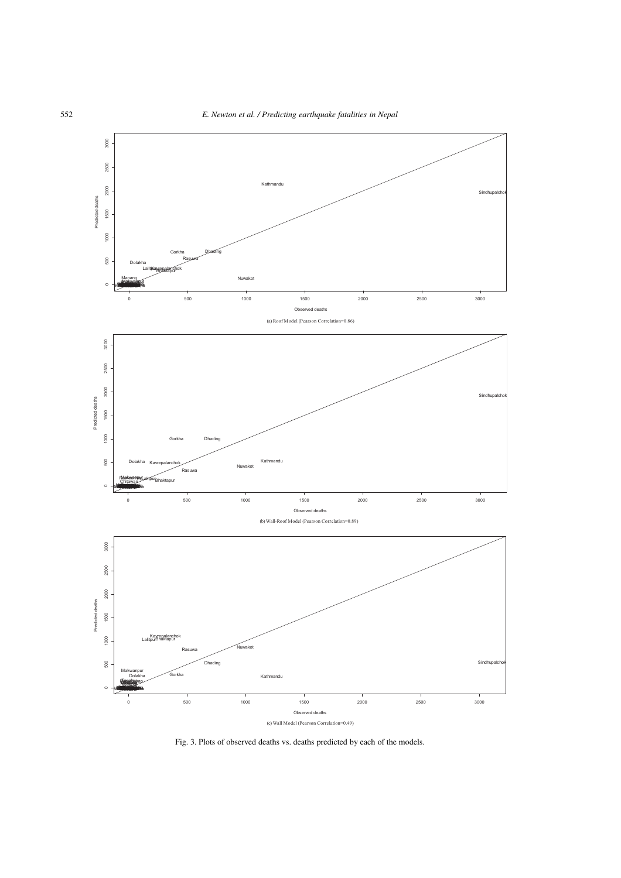

Fig. 3. Plots of observed deaths vs. deaths predicted by each of the models.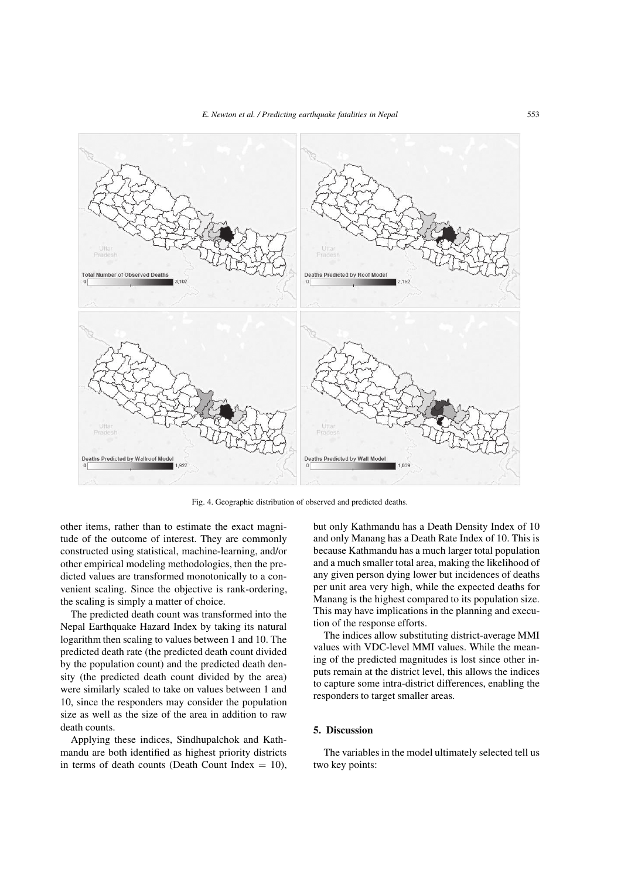

Fig. 4. Geographic distribution of observed and predicted deaths.

other items, rather than to estimate the exact magnitude of the outcome of interest. They are commonly constructed using statistical, machine-learning, and/or other empirical modeling methodologies, then the predicted values are transformed monotonically to a convenient scaling. Since the objective is rank-ordering, the scaling is simply a matter of choice.

The predicted death count was transformed into the Nepal Earthquake Hazard Index by taking its natural logarithm then scaling to values between 1 and 10. The predicted death rate (the predicted death count divided by the population count) and the predicted death density (the predicted death count divided by the area) were similarly scaled to take on values between 1 and 10, since the responders may consider the population size as well as the size of the area in addition to raw death counts.

Applying these indices, Sindhupalchok and Kathmandu are both identified as highest priority districts in terms of death counts (Death Count Index  $= 10$ ), but only Kathmandu has a Death Density Index of 10 and only Manang has a Death Rate Index of 10. This is because Kathmandu has a much larger total population and a much smaller total area, making the likelihood of any given person dying lower but incidences of deaths per unit area very high, while the expected deaths for Manang is the highest compared to its population size. This may have implications in the planning and execution of the response efforts.

The indices allow substituting district-average MMI values with VDC-level MMI values. While the meaning of the predicted magnitudes is lost since other inputs remain at the district level, this allows the indices to capture some intra-district differences, enabling the responders to target smaller areas.

#### 5. Discussion

The variables in the model ultimately selected tell us two key points: